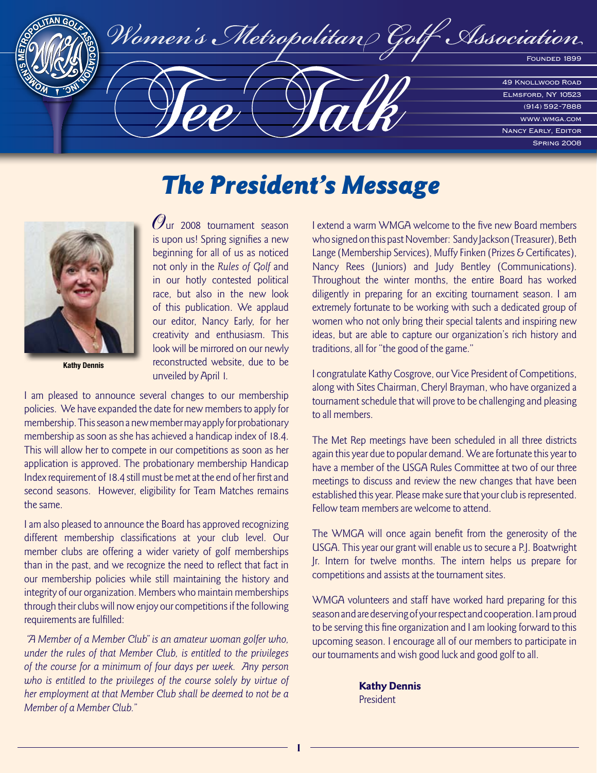

# The President's Message



**Kathy Dennis**

Our 2008 tournament season is upon us! Spring signifies a new beginning for all of us as noticed not only in the Rules of Golf and in our hotly contested political race, but also in the new look of this publication. We applaud our editor, Nancy Early, for her creativity and enthusiasm. This look will be mirrored on our newly reconstructed website, due to be unveiled by April 1.

I am pleased to announce several changes to our membership policies. We have expanded the date for new members to apply for membership. This season a new member may apply for probationary membership as soon as she has achieved a handicap index of 18.4. This will allow her to compete in our competitions as soon as her application is approved. The probationary membership Handicap Index requirement of 18.4 still must be met at the end of her first and second seasons. However, eligibility for Team Matches remains the same.

I am also pleased to announce the Board has approved recognizing different membership classifications at your club level. Our member clubs are offering a wider variety of golf memberships than in the past, and we recognize the need to reflect that fact in our membership policies while still maintaining the history and integrity of our organization. Members who maintain memberships through their clubs will now enjoy our competitions if the following requirements are fulfilled:

 "A Member of a Member Club" is an amateur woman golfer who, under the rules of that Member Club, is entitled to the privileges of the course for a minimum of four days per week. Any person who is entitled to the privileges of the course solely by virtue of her employment at that Member Club shall be deemed to not be a Member of a Member Club."

I extend a warm WMGA welcome to the five new Board members who signed on this past November: Sandy Jackson (Treasurer), Beth Lange (Membership Services), Muffy Finken (Prizes & Certificates), Nancy Rees (Juniors) and Judy Bentley (Communications). Throughout the winter months, the entire Board has worked diligently in preparing for an exciting tournament season. I am extremely fortunate to be working with such a dedicated group of women who not only bring their special talents and inspiring new ideas, but are able to capture our organization's rich history and traditions, all for "the good of the game."

I congratulate Kathy Cosgrove, our Vice President of Competitions, along with Sites Chairman, Cheryl Brayman, who have organized a tournament schedule that will prove to be challenging and pleasing to all members.

The Met Rep meetings have been scheduled in all three districts again this year due to popular demand. We are fortunate this year to have a member of the USGA Rules Committee at two of our three meetings to discuss and review the new changes that have been established this year. Please make sure that your club is represented. Fellow team members are welcome to attend.

The WMGA will once again benefit from the generosity of the USGA. This year our grant will enable us to secure a P.J. Boatwright Jr. Intern for twelve months. The intern helps us prepare for competitions and assists at the tournament sites.

WMGA volunteers and staff have worked hard preparing for this season and are deserving of your respect and cooperation. I am proud to be serving this fine organization and I am looking forward to this upcoming season. I encourage all of our members to participate in our tournaments and wish good luck and good golf to all.

> Kathy Dennis President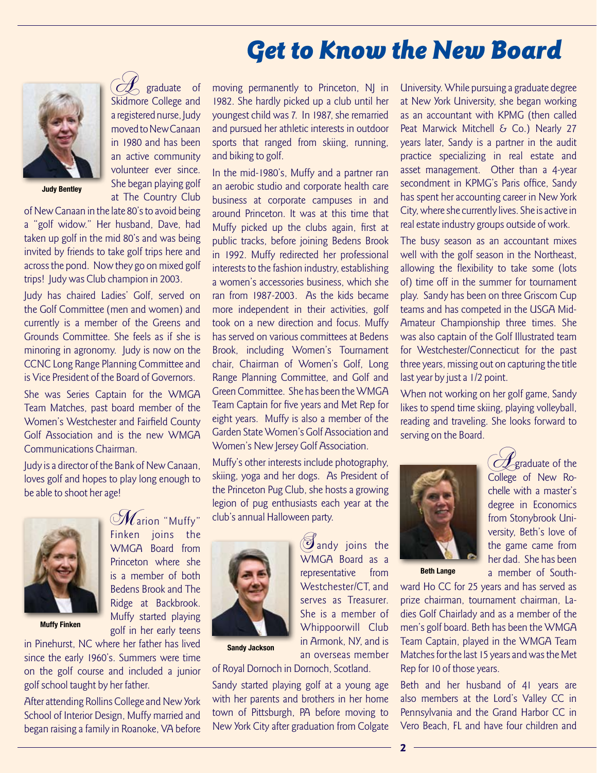# Get to Know the New Board



**Judy Bentley**

of New Canaan in the late 80's to avoid being a "golf widow." Her husband, Dave, had taken up golf in the mid 80's and was being invited by friends to take golf trips here and across the pond. Now they go on mixed golf trips! Judy was Club champion in 2003.

 $\sim$  graduate of Skidmore College and a registered nurse, Judy moved to New Canaan in 1980 and has been

She began playing golf at The Country Club

Judy has chaired Ladies' Golf, served on the Golf Committee (men and women) and currently is a member of the Greens and Grounds Committee. She feels as if she is minoring in agronomy. Judy is now on the CCNC Long Range Planning Committee and is Vice President of the Board of Governors.

She was Series Captain for the WMGA Team Matches, past board member of the Women's Westchester and Fairfield County Golf Association and is the new WMGA Communications Chairman.

Judy is a director of the Bank of New Canaan, loves golf and hopes to play long enough to be able to shoot her age!

> ${\mathscr M}$ arion "Muffy" Finken joins the WMGA Board from Princeton where she is a member of both Bedens Brook and The Ridge at Backbrook. Muffy started playing golf in her early teens



**Muffy Finken**

in Pinehurst, NC where her father has lived since the early 1960's. Summers were time on the golf course and included a junior golf school taught by her father.

After attending Rollins College and New York School of Interior Design, Muffy married and began raising a family in Roanoke, VA before

an active community volunteer ever since. moving permanently to Princeton, NJ in 1982. She hardly picked up a club until her youngest child was 7. In 1987, she remarried and pursued her athletic interests in outdoor sports that ranged from skiing, running, and biking to golf.

In the mid-1980's, Muffy and a partner ran an aerobic studio and corporate health care business at corporate campuses in and around Princeton. It was at this time that Muffy picked up the clubs again, first at public tracks, before joining Bedens Brook in 1992. Muffy redirected her professional interests to the fashion industry, establishing a women's accessories business, which she ran from 1987-2003. As the kids became more independent in their activities, golf took on a new direction and focus. Muffy has served on various committees at Bedens Brook, including Women's Tournament chair, Chairman of Women's Golf, Long Range Planning Committee, and Golf and Green Committee. She has been the WMGA Team Captain for five years and Met Rep for eight years. Muffy is also a member of the Garden State Women's Golf Association and Women's New Jersey Golf Association.

Muffy's other interests include photography, skiing, yoga and her dogs. As President of the Princeton Pug Club, she hosts a growing legion of pug enthusiasts each year at the club's annual Halloween party.



**Sandy Jackson**

of Royal Dornoch in Dornoch, Scotland.

Sandy started playing golf at a young age with her parents and brothers in her home town of Pittsburgh, PA before moving to New York City after graduation from Colgate University. While pursuing a graduate degree at New York University, she began working as an accountant with KPMG (then called Peat Marwick Mitchell & Co.) Nearly 27 years later, Sandy is a partner in the audit practice specializing in real estate and asset management. Other than a 4-year secondment in KPMG's Paris office, Sandy has spent her accounting career in New York City, where she currently lives. She is active in real estate industry groups outside of work.

The busy season as an accountant mixes well with the golf season in the Northeast, allowing the flexibility to take some (lots of) time off in the summer for tournament play. Sandy has been on three Griscom Cup teams and has competed in the USGA Mid-Amateur Championship three times. She was also captain of the Golf Illustrated team for Westchester/Connecticut for the past three years, missing out on capturing the title last year by just a 1/2 point.

When not working on her golf game, Sandy likes to spend time skiing, playing volleyball, reading and traveling. She looks forward to serving on the Board.



 $\mathcal{O}$  graduate of the College of New Rochelle with a master's degree in Economics from Stonybrook University, Beth's love of the game came from her dad. She has been a member of South-

**Beth Lange**

ward Ho CC for 25 years and has served as prize chairman, tournament chairman, Ladies Golf Chairlady and as a member of the men's golf board. Beth has been the WMGA Team Captain, played in the WMGA Team Matches for the last 15 years and was the Met Rep for 10 of those years.

Beth and her husband of 41 years are also members at the Lord's Valley CC in Pennsylvania and the Grand Harbor CC in Vero Beach, FL and have four children and

She is a member of Whippoorwill Club in Armonk, NY, and is an overseas member

 $\mathcal{I}_{\text{andy}}$  joins the WMGA Board as a representative from Westchester/CT, and serves as Treasurer.

2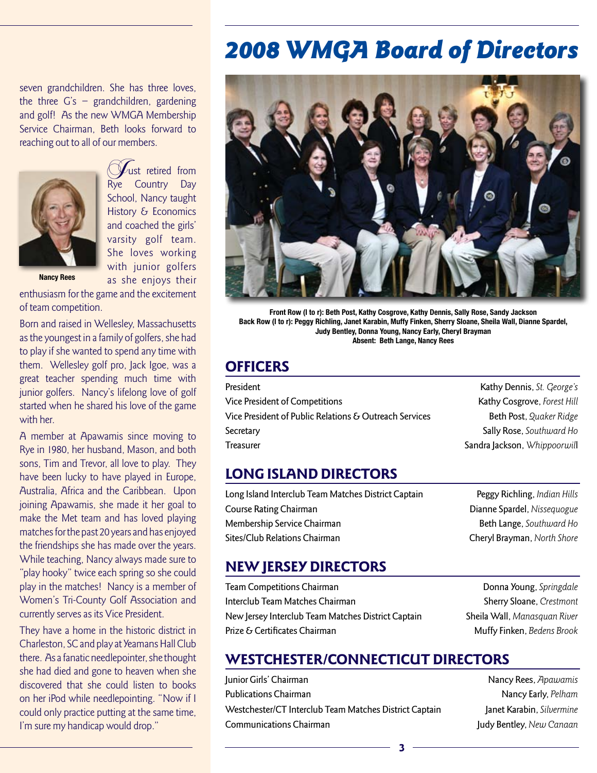# 2008 WMGA Board of Directors

seven grandchildren. She has three loves, the three G's – grandchildren, gardening and golf! As the new WMGA Membership Service Chairman, Beth looks forward to reaching out to all of our members.



ust retired from Rye Country Day School, Nancy taught History & Economics and coached the girls' varsity golf team. She loves working with junior golfers as she enjoys their

**Nancy Rees**

enthusiasm for the game and the excitement of team competition.

Born and raised in Wellesley, Massachusetts as the youngest in a family of golfers, she had to play if she wanted to spend any time with them. Wellesley golf pro, Jack Igoe, was a great teacher spending much time with junior golfers. Nancy's lifelong love of golf started when he shared his love of the game with her.

A member at Apawamis since moving to Rye in 1980, her husband, Mason, and both sons, Tim and Trevor, all love to play. They have been lucky to have played in Europe, Australia, Africa and the Caribbean. Upon joining Apawamis, she made it her goal to make the Met team and has loved playing matches for the past 20 years and has enjoyed the friendships she has made over the years. While teaching, Nancy always made sure to "play hooky" twice each spring so she could play in the matches! Nancy is a member of Women's Tri-County Golf Association and currently serves as its Vice President.

They have a home in the historic district in Charleston, SC and play at Yeamans Hall Club there. As a fanatic needlepointer, she thought she had died and gone to heaven when she discovered that she could listen to books on her iPod while needlepointing. "Now if I could only practice putting at the same time, I'm sure my handicap would drop."



**Front Row (l to r): Beth Post, Kathy Cosgrove, Kathy Dennis, Sally Rose, Sandy Jackson Back Row (l to r): Peggy Richling, Janet Karabin, Muffy Finken, Sherry Sloane, Sheila Wall, Dianne Spardel, Judy Bentley, Donna Young, Nancy Early, Cheryl Brayman Absent: Beth Lange, Nancy Rees**

## **OFFICERS**

| President                                              |
|--------------------------------------------------------|
| Vice President of Competitions                         |
| Vice President of Public Relations & Outreach Services |
| Secretary                                              |
| <b>Treasurer</b>                                       |

Kathy Dennis, St. George's Kathy Cosgrove, Forest Hill Beth Post, Quaker Ridge Sally Rose, Southward Ho Sandra Jackson, Whippoorwill

## LONG ISLAND DIRECTORS

Long Island Interclub Team Matches District Captain Peggy Richling, Indian Hills Course Rating Chairman **Dianne Spardel**, Nissequogue Membership Service Chairman **Beth Lange, Southward Ho** Sites/Club Relations Chairman **Cheryl Brayman**, North Shore

### NEW JERSEY DIRECTORS

**Team Competitions Chairman Company Donna Young, Springdale** Interclub Team Matches Chairman Sherry Sloane, Crestmont New Jersey Interclub Team Matches District Captain Sheila Wall, Manasquan River Prize & Certificates Chairman **Muffy Finken**, Bedens Brook

### WESTCHESTER/CONNECTICUT DIRECTORS

Junior Girls' Chairman Nancy Rees, Apawamis **Publications Chairman Nancy Early, Pelham Nancy Early, Pelham** Westchester/CT Interclub Team Matches District Captain Janet Karabin, Silvermine Communications Chairman **Judy Bentley, New Canaan**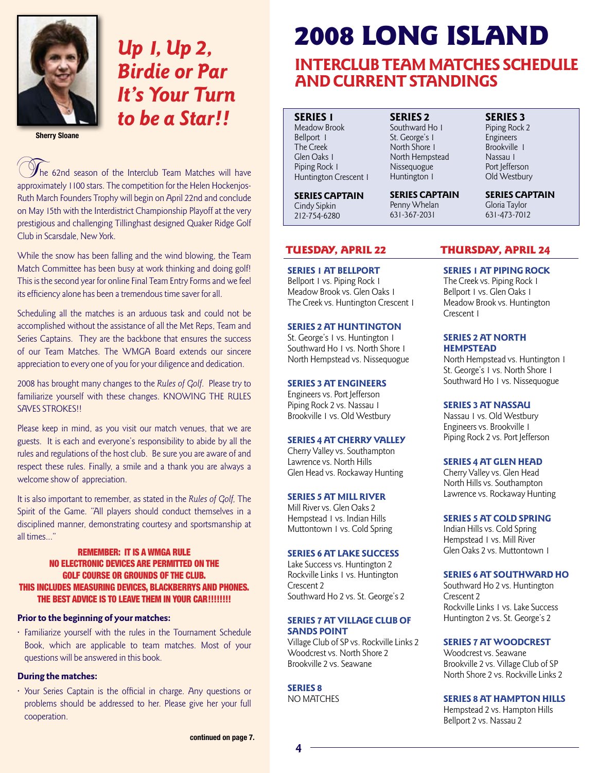

# Up 1, Up 2, Birdie or Par It's Your Turn to be a Star!!

**Sherry Sloane**

 $\mathcal{V}_{\text{the 62nd season of the Interclub Team Matches will have}}$ approximately 1100 stars. The competition for the Helen Hockenjos-Ruth March Founders Trophy will begin on April 22nd and conclude on May 15th with the Interdistrict Championship Playoff at the very prestigious and challenging Tillinghast designed Quaker Ridge Golf Club in Scarsdale, New York.

While the snow has been falling and the wind blowing, the Team Match Committee has been busy at work thinking and doing golf! This is the second year for online Final Team Entry Forms and we feel its efficiency alone has been a tremendous time saver for all.

Scheduling all the matches is an arduous task and could not be accomplished without the assistance of all the Met Reps, Team and Series Captains. They are the backbone that ensures the success of our Team Matches. The WMGA Board extends our sincere appreciation to every one of you for your diligence and dedication.

2008 has brought many changes to the Rules of Golf. Please try to familiarize yourself with these changes. KNOWING THE RULES SAVES STROKES!!

Please keep in mind, as you visit our match venues, that we are guests. It is each and everyone's responsibility to abide by all the rules and regulations of the host club. Be sure you are aware of and respect these rules. Finally, a smile and a thank you are always a welcome show of appreciation.

It is also important to remember, as stated in the Rules of Golf, The Spirit of the Game. "All players should conduct themselves in a disciplined manner, demonstrating courtesy and sportsmanship at all times..."

#### REMEMBER: IT IS A WMGA RULE NO ELECTRONIC DEVICES ARE PERMITTED ON THE GOLF COURSE OR GROUNDS OF THE CLUB. THIS INCLUDES MEASURING DEVICES, BLACKBERRYS AND PHONES. THE BEST ADVICE IS TO LEAVE THEM IN YOUR CAR!!!!!!!!

#### Prior to the beginning of your matches:

• Familiarize yourself with the rules in the Tournament Schedule Book, which are applicable to team matches. Most of your questions will be answered in this book.

#### During the matches:

• Your Series Captain is the official in charge. Any questions or problems should be addressed to her. Please give her your full cooperation.

# 2008 LONG ISLAND

## INTERCLUB TEAM MATCHES SCHEDULE AND CURRENT STANDINGS

SERIES 1 Meadow Brook Bellport 1 The Creek Glen Oaks 1 Piping Rock 1 Huntington Crescent 1

SERIES CAPTAIN Cindy Sipkin 212-754-6280

Southward Ho 1 St. George's 1 North Shore 1 North Hempstead Nissequogue Huntington 1

SERIES 2

SERIES CAPTAIN Penny Whelan 631-367-2031

SERIES 3

Piping Rock 2 Engineers Brookville 1 Nassau 1 Port Jefferson Old Westbury

SERIES CAPTAIN Gloria Taylor 631-473-7012

#### SERIES 1 AT BELLPORT

Bellport 1 vs. Piping Rock 1 Meadow Brook vs. Glen Oaks 1 The Creek vs. Huntington Crescent 1

#### SERIES 2 AT HUNTINGTON

St. George's 1 vs. Huntington 1 Southward Ho 1 vs. North Shore 1 North Hempstead vs. Nissequogue

#### SERIES 3 AT ENGINEERS

Engineers vs. Port Jefferson Piping Rock 2 vs. Nassau 1 Brookville 1 vs. Old Westbury

#### SERIES 4 AT CHERRY VALLEY

Cherry Valley vs. Southampton Lawrence vs. North Hills Glen Head vs. Rockaway Hunting

#### SERIES 5 AT MILL RIVER

Mill River vs. Glen Oaks 2 Hempstead 1 vs. Indian Hills Muttontown 1 vs. Cold Spring

#### SERIES 6 AT LAKE SUCCESS

Lake Success vs. Huntington 2 Rockville Links 1 vs. Huntington Crescent 2 Southward Ho 2 vs. St. George's 2

#### SERIES 7 AT VILLAGE CLUB OF SANDS POINT

Village Club of SP vs. Rockville Links 2 Woodcrest vs. North Shore 2 Brookville 2 vs. Seawane

SERIES 8 NO MATCHES

4

#### TUESDAY, APRIL 22 THURSDAY, APRIL 24

#### SERIES 1 AT PIPING ROCK

The Creek vs. Piping Rock 1 Bellport 1 vs. Glen Oaks 1 Meadow Brook vs. Huntington Crescent 1

#### SERIES 2 AT NORTH HEMPSTEAD

North Hempstead vs. Huntington 1 St. George's 1 vs. North Shore 1 Southward Ho 1 vs. Nissequogue

#### SERIES 3 AT NASSAU

Nassau 1 vs. Old Westbury Engineers vs. Brookville 1 Piping Rock 2 vs. Port Jefferson

#### SERIES 4 AT GLEN HEAD

Cherry Valley vs. Glen Head North Hills vs. Southampton Lawrence vs. Rockaway Hunting

#### SERIES 5 AT COLD SPRING

Indian Hills vs. Cold Spring Hempstead 1 vs. Mill River Glen Oaks 2 vs. Muttontown 1

#### SERIES 6 AT SOUTHWARD HO

Southward Ho 2 vs. Huntington Crescent 2 Rockville Links 1 vs. Lake Success Huntington 2 vs. St. George's 2

#### SERIES 7 AT WOODCREST

Woodcrest vs. Seawane Brookville 2 vs. Village Club of SP North Shore 2 vs. Rockville Links 2

#### SERIES 8 AT HAMPTON HILLS

Hempstead 2 vs. Hampton Hills Bellport 2 vs. Nassau 2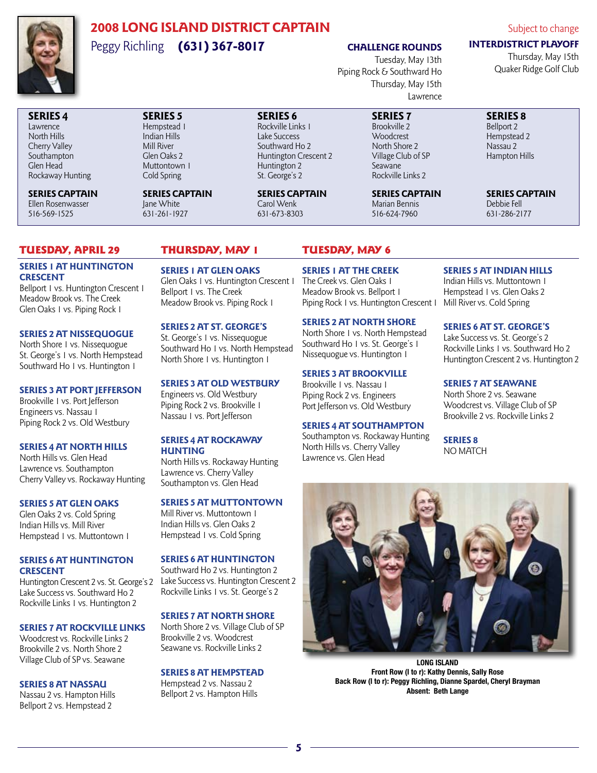

## 2008 LONG ISLAND DISTRICT CAPTAIN Peggy Richling (631) 367-8017

### CHALLENGE ROUNDS

Tuesday, May 13th Piping Rock & Southward Ho Thursday, May 15th Lawrence

#### Subject to change

### INTERDISTRICT PLAYOFF

Thursday, May 15th Quaker Ridge Golf Club

#### SERIES 4 Lawrence North Hills Cherry Valley

Southampton Glen Head Rockaway Hunting

SERIES CAPTAIN Ellen Rosenwasser 516-569-1525

#### SERIES 5 Hempstead 1 Indian Hills Mill River Glen Oaks 2 Muttontown 1 Cold Spring

SERIES CAPTAIN Jane White 631-261-1927

SERIES 6 Rockville Links 1 Lake Success Southward Ho 2 Huntington Crescent 2 Huntington 2 St. George's 2

SERIES CAPTAIN Carol Wenk 631-673-8303

#### SERIES 7 Brookville 2 Woodcrest North Shore 2 Village Club of SP Seawane Rockville Links 2

SERIES CAPTAIN Marian Bennis 516-624-7960

### SERIES 8

Bellport 2 Hempstead 2 Nassau 2 Hampton Hills

SERIES CAPTAIN Debbie Fell 631-286-2177

### Tuesday, April 29 Thursday, May 1 Tuesday, May 6

#### SERIES 1 AT HUNTINGTON **CRESCENT**

Bellport 1 vs. Huntington Crescent 1 Meadow Brook vs. The Creek GlenOaks 1 vs. Piping Rock 1

#### SERIES 2 AT NISSEQUOGUE

North Shore 1 vs. Nissequogue St. George's 1 vs. North Hempstead Southward Ho 1 vs. Huntington 1

#### SERIES 3 AT PORT JEFFERSON

Brookville 1 vs. Port Jefferson Engineers vs. Nassau 1 Piping Rock 2 vs. Old Westbury

#### SERIES 4 AT NORTH HILLS

North Hills vs. Glen Head Lawrence vs. Southampton Cherry Valley vs. Rockaway Hunting

#### SERIES 5 AT GLEN OAKS

Glen Oaks 2 vs. Cold Spring Indian Hills vs. Mill River Hempstead 1 vs. Muttontown 1

#### SERIES 6 AT HUNTINGTON **CRESCENT**

Lake Success vs. Southward Ho 2 Rockville Links 1 vs. Huntington 2

#### SERIES 7 AT ROCKVILLE LINKS

Woodcrest vs. Rockville Links 2 Brookville 2 vs. North Shore 2 Village Club of SP vs. Seawane

#### SERIES 8 AT NASSAU

Nassau 2 vs. Hampton Hills Bellport 2 vs. Hempstead 2

#### SERIES 1 AT GLEN OAKS

Glen Oaks 1 vs. Huntington Crescent 1 Bellport 1 vs. The Creek Meadow Brook vs. Piping Rock 1

#### SERIES 2 AT ST. GEORGE'S

St. George's 1 vs. Nissequogue Southward Ho 1 vs. North Hempstead North Shore 1 vs. Huntington 1

#### SERIES 3 AT OLD WESTBURY

Engineers vs. Old Westbury Piping Rock 2 vs. Brookville 1 Nassau 1 vs. Port Jefferson

#### SERIES 4 AT ROCKAWAY **HUNTING**

North Hills vs. Rockaway Hunting Lawrence vs. Cherry Valley Southampton vs. Glen Head

#### SERIES 5 AT MUTTONTOWN

Mill River vs. Muttontown 1 Indian Hills vs. Glen Oaks 2 Hempstead 1 vs. Cold Spring

#### SERIES 6 AT HUNTINGTON

Huntington Crescent 2 vs. St. George's 2 Lake Success vs. Huntington Crescent 2 Southward Ho 2 vs. Huntington 2 Rockville Links 1 vs. St. George's 2

#### SERIES 7 AT NORTH SHORE

North Shore 2 vs. Village Club of SP Brookville 2 vs. Woodcrest Seawane vs. Rockville Links 2

#### SERIES 8 AT HEMPSTEAD

Hempstead 2 vs. Nassau 2 Bellport 2 vs. Hampton Hills

#### SERIES 1 AT THE CREEK

The Creek vs. Glen Oaks 1 Meadow Brook vs. Bellport 1 Piping Rock 1 vs. Huntington Crescent 1 Mill River vs. Cold Spring

#### SERIES 2 AT NORTH SHORE

North Shore 1 vs. North Hempstead Southward Ho 1 vs. St. George's 1 Nissequogue vs. Huntington 1

#### SERIES 3 AT BROOKVILLE

Brookville 1 vs. Nassau 1 Piping Rock 2 vs. Engineers Port Jefferson vs. Old Westbury

#### SERIES 4 AT SOUTHAMPTON

Southampton vs. Rockaway Hunting North Hills vs. Cherry Valley Lawrence vs. Glen Head

#### SERIES 5 AT INDIAN HILLS

Indian Hills vs. Muttontown 1 Hempstead 1 vs. Glen Oaks 2

#### SERIES 6 AT ST. GEORGE'S

Lake Success vs. St. George's 2 Rockville Links 1 vs. Southward Ho 2 Huntington Crescent 2 vs. Huntington 2

#### SERIES 7 AT SEAWANE

North Shore 2 vs. Seawane Woodcrest vs. Village Club of SP Brookville 2 vs. Rockville Links 2

SERIES 8 NO MATCH



**LONG ISLAND Front Row (l to r): Kathy Dennis, Sally Rose Back Row (l to r): Peggy Richling, Dianne Spardel, Cheryl Brayman Absent: Beth Lange**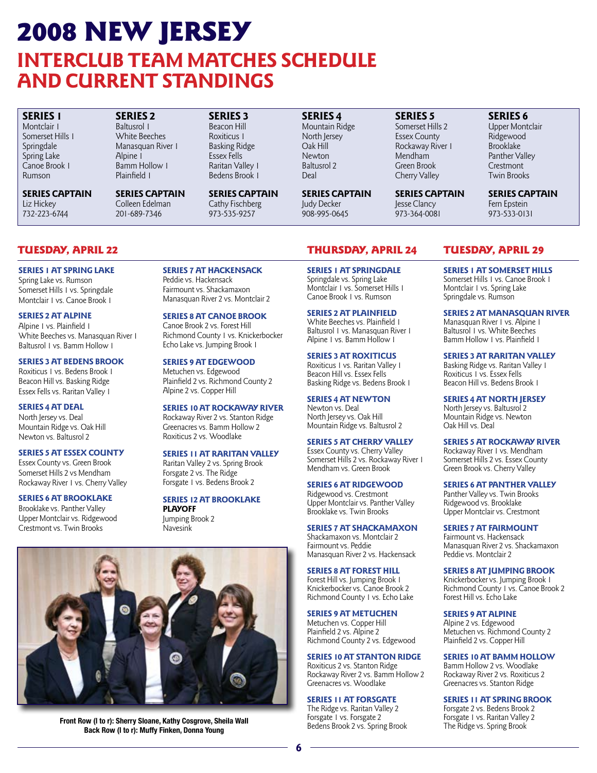# 2008 NEW JERSEY INTERCLUB TEAM MATCHES SCHEDULE AND CURRENT STANDINGS

#### SERIES 1 Montclair 1 Somerset Hills 1 Springdale Spring Lake Canoe Brook 1 Rumson

SERIES CAPTAIN Liz Hickey 732-223-6744

SERIES 2 Baltusrol 1 White Beeches Manasquan River 1 Alpine i Bamm Hollow 1 Plainfield 1

SERIES CAPTAIN Colleen Edelman 201-689-7346

SERIES 3 Beacon Hill Roxiticus 1 Basking Ridge Essex Fells Raritan Valley 1 Bedens Brook 1

SERIES CAPTAIN Cathy Fischberg 973-535-9257

SERIES 4 Mountain Ridge North Jersey Oak Hill Newton Baltusrol 2 Deal

SERIES CAPTAIN Judy Decker 908-995-0645

Cherry Valley SERIES CAPTAIN Jesse Clancy 973-364-0081

SERIES 5 Somerset Hills 2 Essex County Rockaway River 1 Mendham Green Brook

Brooklake Panther Valley Crestmont Twin Brooks SERIES CAPTAIN

SERIES 6 Upper Montclair Ridgewood

Fern Epstein 973-533-0131

SERIES 1 AT SPRING LAKE Spring Lake vs. Rumson Somerset Hills 1 vs. Springdale Montclair 1 vs. Canoe Brook 1

#### SERIES 2 AT ALPINE Alpine 1 vs. Plainfield 1

White Beeches vs. Manasquan River 1 Baltusrol 1 vs. Bamm Hollow 1

#### SERIES 3 AT BEDENS BROOK

Roxiticus 1 vs. Bedens Brook 1 Beacon Hill vs. Basking Ridge Essex Fells vs. Raritan Valley 1

SERIES 4 AT DEAL North Jersey vs. Deal Mountain Ridge vs. Oak Hill Newton vs. Baltusrol 2

#### SERIES 5 AT ESSEX COUNTY

Essex County vs. Green Brook Somerset Hills 2 vs Mendham Rockaway River 1 vs. Cherry Valley

### SERIES 6 AT BROOKLAKE

Brooklake vs. Panther Valley Upper Montclair vs. Ridgewood Crestmont vs. Twin Brooks

### SERIES 7 AT HACKENSACK Peddie vs. Hackensack

Fairmount vs. Shackamaxon Manasquan River 2 vs. Montclair 2

SERIES 8 AT CANOE BROOK Canoe Brook 2 vs. Forest Hill

Richmond County 1 vs. Knickerbocker Echo Lake vs. Jumping Brook 1

SERIES 9 AT EDGEWOOD Metuchen vs. Edgewood

Plainfield 2 vs. Richmond County 2 Alpine 2 vs. Copper Hill

SERIES 10 AT ROCKAWAY RIVER

Rockaway River 2 vs. Stanton Ridge Greenacres vs. Bamm Hollow 2 Roxiticus 2 vs. Woodlake

#### SERIES 11 AT RARITAN VALLEY

Raritan Valley 2 vs. Spring Brook Forsgate 2 vs. The Ridge Forsgate 1 vs. Bedens Brook 2

SERIES 12 AT BROOKLAKE PLAYOFF

Jumping Brook 2 Navesink



**Front Row (l to r): Sherry Sloane, Kathy Cosgrove, Sheila Wall Back Row (l to r): Muffy Finken, Donna Young**

### TUESDAY, APRIL 22 THURSDAY, APRIL 24 Tuesday, April 29

SERIES 1 AT SPRINGDALE Springdale vs. Spring Lake Montclair 1 vs. Somerset Hills 1 Canoe Brook 1 vs. Rumson

#### SERIES 2 AT PLAINFIELD

White Beeches vs. Plainfield 1 Baltusrol 1 vs. Manasquan River 1 Alpine 1 vs. Bamm Hollow 1

#### SERIES 3 AT ROXITICUS

Roxiticus 1 vs. Raritan Valley 1 Beacon Hill vs. Essex Fells Basking Ridge vs. Bedens Brook 1

#### SERIES 4 AT NEWTON

Newton vs. Deal North Jersey vs. Oak Hill Mountain Ridge vs. Baltusrol 2

#### SERIES 5 AT CHERRY VALLEY

Essex County vs. Cherry Valley Somerset Hills 2 vs. Rockaway River 1 Mendham vs. Green Brook

#### SERIES 6 AT RIDGEWOOD

Ridgewood vs. Crestmont Upper Montclair vs. Panther Valley Brooklake vs. Twin Brooks

#### SERIES 7 AT SHACKAMAXON

Shackamaxon vs. Montclair 2 Fairmount vs. Peddie Manasquan River 2 vs. Hackensack

#### SERIES 8 AT FOREST HILL Forest Hill vs. Jumping Brook 1

Knickerbocker vs. Canoe Brook 2 Richmond County 1 vs. Echo Lake

#### SERIES 9 AT METUCHEN

Metuchen vs. Copper Hill Plainfield 2 vs. Alpine 2 Richmond County 2 vs. Edgewood

#### SERIES 10 AT STANTON RIDGE

Roxiticus 2 vs. Stanton Ridge Rockaway River 2 vs. Bamm Hollow 2 Greenacres vs. Woodlake

#### SERIES 11 AT FORSGATE

The Ridge vs. Raritan Valley 2 Forsgate 1 vs. Forsgate 2 Bedens Brook 2 vs. Spring Brook

SERIES 1 AT SOMERSET HILLS Somerset Hills 1 vs. Canoe Brook 1 Montclair 1 vs. Spring Lake Springdale vs. Rumson

#### SERIES 2 AT MANASQUAN RIVER

Manasquan River 1 vs. Alpine 1 Baltusrol 1 vs. White Beeches Bamm Hollow 1 vs. Plainfield 1

#### SERIES 3 AT RARITAN VALLEY

Basking Ridge vs. Raritan Valley 1 Roxiticus 1 vs. Essex Fells Beacon Hill vs. Bedens Brook 1

SERIES 4 AT NORTH JERSEY North Jersey vs. Baltusrol 2

Mountain Ridge vs. Newton Oak Hill vs. Deal

#### SERIES 5 AT ROCKAWAY RIVER

Rockaway River 1 vs. Mendham Somerset Hills 2 vs. Essex County Green Brook vs. Cherry Valley

#### SERIES 6 AT PANTHER VALLEY

Panther Valley vs. Twin Brooks Ridgewood vs. Brooklake Upper Montclair vs. Crestmont

#### SERIES 7 AT FAIRMOUNT

Fairmount vs. Hackensack Manasquan River 2 vs. Shackamaxon Peddie vs. Montclair 2

#### SERIES 8 AT JUMPING BROOK

Knickerbocker vs. Jumping Brook 1 Richmond County 1 vs. Canoe Brook 2 Forest Hill vs. Echo Lake

#### SERIES 9 AT ALPINE

Alpine 2 vs. Edgewood Metuchen vs. Richmond County 2 Plainfield 2 vs. Copper Hill

#### SERIES 10 AT BAMM HOLLOW

Bamm Hollow 2 vs. Woodlake Rockaway River 2 vs. Roxiticus 2 Greenacres vs. Stanton Ridge

#### SERIES 11 AT SPRING BROOK

Forsgate 2 vs. Bedens Brook 2 Forsgate 1 vs. Raritan Valley 2 The Ridge vs. Spring Brook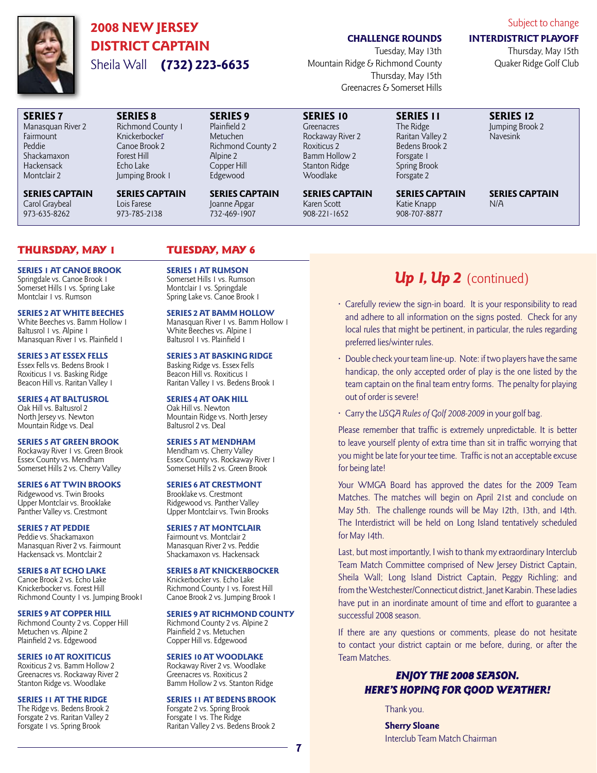

SERIES 7 Manasquan River 2 Fairmount Peddie Shackamaxon Hackensack Montclair 2

## 2008 NEW JERSEY DISTRICT CAPTAIN Sheila Wall (732) 223-6635

SERIES 8 Richmond County 1 Knickerbocker Canoe Brook 2 Forest Hill Echo Lake Jumping Brook 1 SERIES CAPTAIN

Lois Farese 973-785-2138

#### CHALLENGE ROUNDS

Tuesday, May 13th Mountain Ridge & Richmond County Thursday, May 15th Greenacres & Somerset Hills

SERIES 10 **Greenacres** Rockaway River 2 Roxiticus 2 Bamm Hollow 2 Stanton Ridge Woodlake

SERIES CAPTAIN Karen Scott 908-221-1652

#### SERIES 11 The Ridge Raritan Valley 2 Bedens Brook 2 Forsgate 1 Spring Brook Forsgate 2

SERIES CAPTAIN Katie Knapp 908-707-8877

SERIES CAPTAIN N/A

### Thursday, May 1 Tuesday, May 6

SERIES CAPTAIN Carol Graybeal 973-635-8262

SERIES 1 AT CANOE BROOK Springdale vs. Canoe Brook 1 Somerset Hills 1 vs. Spring Lake Montclair I vs. Rumson

#### SERIES 2 AT WHITE BEECHES

White Beeches vs. Bamm Hollow 1 Baltusrol 1 vs. Alpine 1 Manasquan River 1 vs. Plainfield 1

#### SERIES 3 AT ESSEX FELLS Essex Fells vs. Bedens Brook 1 Roxiticus 1 vs. Basking Ridge Beacon Hill vs. Raritan Valley 1

SERIES 4 AT BALTUSROL Oak Hill vs. Baltusrol 2 North Jersey vs. Newton Mountain Ridge vs. Deal

#### SERIES 5 AT GREEN BROOK

Rockaway River 1 vs. Green Brook Essex County vs. Mendham Somerset Hills 2 vs. Cherry Valley

SERIES 6 AT TWIN BROOKS Ridgewood vs. Twin Brooks Upper Montclair vs. Brooklake Panther Valley vs. Crestmont

#### SERIES 7 AT PEDDIE Peddie vs. Shackamaxon Manasquan River 2 vs. Fairmount Hackensack vs. Montclair 2

SERIES 8 AT ECHO LAKE Canoe Brook 2 vs. Echo Lake Knickerbocker vs. Forest Hill Richmond County 1 vs. Jumping Brook1

SERIES 9 AT COPPER HILL

Richmond County 2 vs. Copper Hill Metuchen vs. Alpine 2 Plainfield 2 vs. Edgewood

#### SERIES 10 AT ROXITICUS

Roxiticus 2 vs. Bamm Hollow 2 Greenacres vs. Rockaway River 2 Stanton Ridge vs. Woodlake

#### SERIES 11 AT THE RIDGE

The Ridge vs. Bedens Brook 2 Forsgate 2 vs. Raritan Valley 2 Forsgate 1 vs. Spring Brook

SERIES 9 Plainfield 2 Metuchen

Alpine 2 Copper Hill Edgewood

Richmond County 2

SERIES CAPTAIN Joanne Apgar 732-469-1907

SERIES 1 AT RUMSON Somerset Hills 1 vs. Rumson Montclair 1 vs. Springdale Spring Lake vs. Canoe Brook 1

#### SERIES 2 AT BAMM HOLLOW

Manasquan River 1 vs. Bamm Hollow 1 White Beeches vs. Alpine 1 Baltusrol 1 vs. Plainfield 1

#### SERIES 3 AT BASKING RIDGE

Basking Ridge vs. Essex Fells Beacon Hill vs. Roxiticus 1 Raritan Valley 1 vs. Bedens Brook 1

#### SERIES 4 AT OAK HILL

Oak Hill vs. Newton Mountain Ridge vs. North Jersey Baltusrol 2 vs. Deal

#### SERIES 5 AT MENDHAM

Mendham vs. Cherry Valley Essex County vs. Rockaway River 1 Somerset Hills 2 vs. Green Brook

#### SERIES 6 AT CRESTMONT

Brooklake vs. Crestmont Ridgewood vs. Panther Valley Upper Montclair vs. Twin Brooks

#### SERIES 7 AT MONTCLAIR

Fairmount vs. Montclair 2 Manasquan River 2 vs. Peddie Shackamaxon vs. Hackensack

#### SERIES 8 AT KNICKERBOCKER

Knickerbocker vs. Echo Lake Richmond County 1 vs. Forest Hill Canoe Brook 2 vs. Jumping Brook 1

#### SERIES 9 AT RICHMOND COUNTY

#### Richmond County 2 vs. Alpine 2 Plainfield 2 vs. Metuchen

Copper Hill vs. Edgewood SERIES 10 AT WOODLAKE Rockaway River 2 vs. Woodlake

Greenacres vs. Roxiticus 2 Bamm Hollow 2 vs. Stanton Ridge

#### SERIES 11 AT BEDENS BROOK

Forsgate 2 vs. Spring Brook Forsgate 1 vs. The Ridge Raritan Valley 2 vs. Bedens Brook 2

7

## Up I, Up 2 (continued)

- Carefully review the sign-in board. It is your responsibility to read and adhere to all information on the signs posted. Check for any local rules that might be pertinent, in particular, the rules regarding preferred lies/winter rules.
- Double check your team line-up. Note: if two players have the same handicap, the only accepted order of play is the one listed by the team captain on the final team entry forms. The penalty for playing out of order is severe!
- Carry the USGA Rules of Golf 2008-2009 in your golf bag.

Please remember that traffic is extremely unpredictable. It is better to leave yourself plenty of extra time than sit in traffic worrying that you might be late for your tee time. Traffic is not an acceptable excuse for being late!

Your WMGA Board has approved the dates for the 2009 Team Matches. The matches will begin on April 21st and conclude on May 5th. The challenge rounds will be May 12th, 13th, and 14th. The Interdistrict will be held on Long Island tentatively scheduled for May 14th.

Last, but most importantly, I wish to thank my extraordinary Interclub Team Match Committee comprised of New Jersey District Captain, Sheila Wall; Long Island District Captain, Peggy Richling; and from the Westchester/Connecticut district, Janet Karabin. These ladies have put in an inordinate amount of time and effort to guarantee a successful 2008 season.

If there are any questions or comments, please do not hesitate to contact your district captain or me before, during, or after the Team Matches.

### ENJOY THE 2008 SEASON. HERE'S HOPING FOR GOOD WEATHER!

Thank you.

Sherry Sloane Interclub Team Match Chairman Subject to change

#### INTERDISTRICT PLAYOFF

SERIES 12 Jumping Brook 2 Navesink

Thursday, May 15th Quaker Ridge Golf Club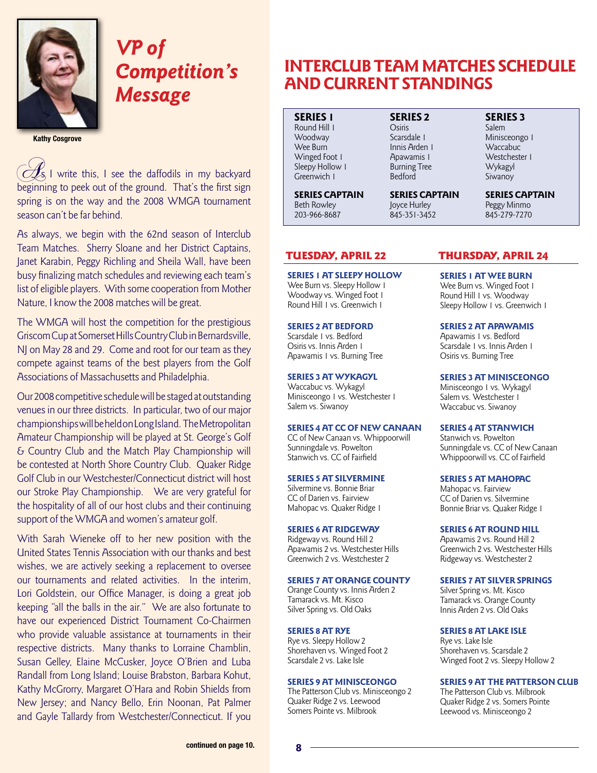

# VP of Competition's Message

**Kathy Cosgrove**

 $\lesssim$  I write this, I see the daffodils in my backyard beginning to peek out of the ground. That's the first sign spring is on the way and the 2008 WMGA tournament season can't be far behind.

As always, we begin with the 62nd season of Interclub Team Matches. Sherry Sloane and her District Captains, Janet Karabin, Peggy Richling and Sheila Wall, have been busy finalizing match schedules and reviewing each team's list of eligible players. With some cooperation from Mother Nature, I know the 2008 matches will be great.

The WMGA will host the competition for the prestigious Griscom Cup at Somerset Hills Country Club in Bernardsville, NJ on May 28 and 29. Come and root for our team as they compete against teams of the best players from the Golf Associations of Massachusetts and Philadelphia.

Our 2008 competitive schedule will be staged at outstanding venues in our three districts. In particular, two of our major championships will be held on Long Island. The Metropolitan Amateur Championship will be played at St. George's Golf & Country Club and the Match Play Championship will be contested at North Shore Country Club. Quaker Ridge Golf Club in our Westchester/Connecticut district will host our Stroke Play Championship. We are very grateful for the hospitality of all of our host clubs and their continuing support of the WMGA and women's amateur golf.

With Sarah Wieneke off to her new position with the United States Tennis Association with our thanks and best wishes, we are actively seeking a replacement to oversee our tournaments and related activities. In the interim, Lori Goldstein, our Office Manager, is doing a great job keeping "all the balls in the air." We are also fortunate to have our experienced District Tournament Co-Chairmen who provide valuable assistance at tournaments in their respective districts. Many thanks to Lorraine Chamblin, Susan Gelley, Elaine McCusker, Joyce O'Brien and Luba Randall from Long Island; Louise Brabston, Barbara Kohut, Kathy McGrorry, Margaret O'Hara and Robin Shields from New Jersey; and Nancy Bello, Erin Noonan, Pat Palmer and Gayle Tallardy from Westchester/Connecticut. If you

## INTERCLUB TEAM MATCHES SCHEDULE AND CURRENT STANDINGS

SERIES 1 Round Hill 1 Woodway Wee Burn Winged Foot 1 Sleepy Hollow 1 Greenwich 1

SERIES CAPTAIN Beth Rowley 203-966-8687

SERIES 2 Osiris Scarsdale 1 Innis Arden 1 Apawamis 1 Burning Tree Bedford

SERIES CAPTAIN Joyce Hurley 845-351-3452

SERIES 3

Salem Minisceongo 1 Waccabuc<sup>-</sup> Westchester 1 Wykagyl **Siwanoy** 

SERIES CAPTAIN Peggy Minmo 845-279-7270

SERIES 1 AT SLEEPY HOLLOW

Wee Burn vs. Sleepy Hollow 1 Woodway vs. Winged Foot 1 Round Hill 1 vs. Greenwich 1

#### SERIES 2 AT BEDFORD

Scarsdale 1 vs. Bedford Osiris vs. Innis Arden 1 Apawamis 1 vs. Burning Tree

#### SERIES 3 AT WYKAGYL

Waccabuc vs. Wykagyl Minisceongo 1 vs. Westchester 1 Salem vs. Siwanoy

#### SERIES 4 AT CC OF NEW CANAAN

CC of New Canaan vs. Whippoorwill Sunningdale vs. Powelton Stanwich vs. CC of Fairfield

SERIES 5 AT SILVERMINE

Silvermine vs. Bonnie Briar CC of Darien vs. Fairview Mahopac vs. Quaker Ridge 1

#### SERIES 6 AT RIDGEWAY

Ridgeway vs. Round Hill 2 Apawamis 2 vs. Westchester Hills Greenwich 2 vs. Westchester 2

#### SERIES 7 AT ORANGE COUNTY

Orange County vs. Innis Arden 2 Tamarack vs. Mt. Kisco Silver Spring vs. Old Oaks

#### SERIES 8 AT RYE

Rye vs. Sleepy Hollow 2 Shorehaven vs. Winged Foot 2 Scarsdale 2 vs. Lake Isle

#### SERIES 9 AT MINISCEONGO

The Patterson Club vs. Minisceongo 2 Quaker Ridge 2 vs. Leewood Somers Pointe vs. Milbrook

#### TUESDAY, APRIL 22 THURSDAY, APRIL 24

SERIES 1 AT WEE BURN Wee Burn vs. Winged Foot 1

Round Hill 1 vs. Woodway Sleepy Hollow 1 vs. Greenwich 1

SERIES 2 AT APAWAMIS

Apawamis 1 vs. Bedford Scarsdale 1 vs. Innis Arden 1 Osiris vs. Burning Tree

SERIES 3 AT MINISCEONGO

Minisceongo 1 vs. Wykagyl Salem vs. Westchester 1 Waccabuc vs. Siwanoy

SERIES 4 AT STANWICH Stanwich vs. Powelton Sunningdale vs. CC of New Canaan Whippoorwill vs. CC of Fairfield

SERIES 5 AT MAHOPAC Mahopac vs. Fairview CC of Darien vs. Silvermine Bonnie Briar vs. Quaker Ridge 1

SERIES 6 AT ROUND HILL Apawamis 2 vs. Round Hill 2 Greenwich 2 vs. Westchester Hills Ridgeway vs. Westchester 2

SERIES 7 AT SILVER SPRINGS Silver Spring vs. Mt. Kisco

Tamarack vs. Orange County Innis Arden 2 vs. Old Oaks

SERIES 8 AT LAKE ISLE

Rye vs. Lake Isle Shorehaven vs. Scarsdale 2 Winged Foot 2 vs. Sleepy Hollow 2

#### SERIES 9 AT THE PATTERSON CLUB

The Patterson Club vs. Milbrook Quaker Ridge 2 vs. Somers Pointe Leewood vs. Minisceongo 2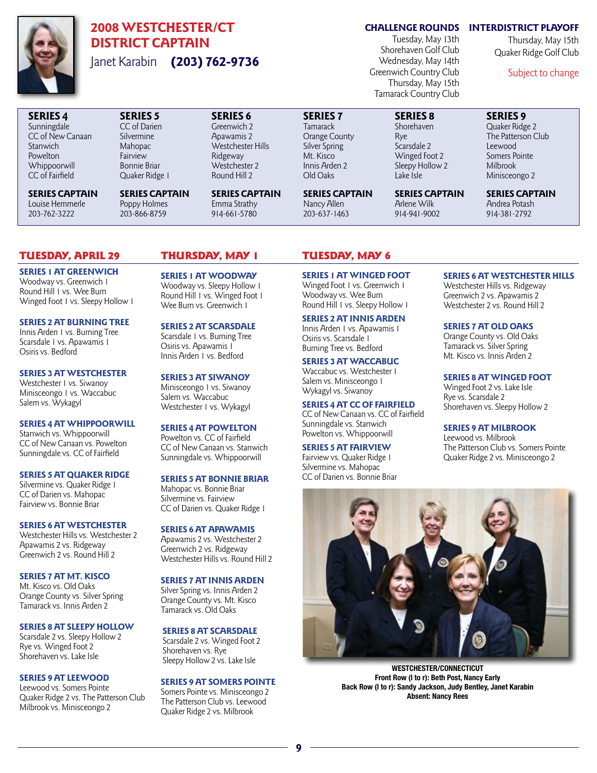

SERIES 4 Sunningdale CC of New Canaan

**Stanwich** Powelton **Whippoorwill** CC of Fairfield

## 2008 WESTCHESTER/CT DISTRICT CAPTAIN Janet Karabin (203) 762-9736

SERIES 5 CC of Darien Silvermine Mahopac **Fairview** Bonnie Briar Quaker Ridge 1

SERIES CAPTAIN Poppy Holmes 203-866-8759

### CHALLENGE ROUNDS INTERDISTRICT PLAYOFF

Tuesday, May 13th Shorehaven Golf Club Wednesday, May 14th Greenwich Country Club Thursday, May 15th Tamarack Country Club

> SERIES 8 Shorehaven Rye Scarsdale 2 Winged Foot 2 Sleepy Hollow 2 Lake Isle

SERIES CAPTAIN Arlene Wilk 914-941-9002

SERIES 9 Quaker Ridge 2 The Patterson Club Leewood Somers Pointe Milbrook

Subject to change

Thursday, May 15th Quaker Ridge Golf Club

SERIES CAPTAIN Andrea Potash 914-381-2792

Minisceongo 2

### Tuesday, April 29 Thursday, May 1 Tuesday, May 6

SERIES CAPTAIN Louise Hemmerle 203-762-3222

SERIES 1 AT GREENWICH Woodway vs. Greenwich 1 Round Hill 1 vs. Wee Burn Winged Foot 1 vs. Sleepy Hollow 1

SERIES 2 AT BURNING TREE Innis Arden 1 vs. Burning Tree Scarsdale 1 vs. Apawamis 1 Osiris vs. Bedford

SERIES 3 AT WESTCHESTER Westchester 1 vs. Siwanoy Minisceongo 1 vs. Waccabuc Salem vs. Wykagyl

SERIES 4 AT WHIPPOORWILL Stanwich vs. Whippoorwill CC of New Canaan vs. Powelton Sunningdale vs. CC of Fairfield

SERIES 5 AT QUAKER RIDGE Silvermine vs. Quaker Ridge 1 CC of Darien vs. Mahopac Fairview vs. Bonnie Briar

SERIES 6 AT WESTCHESTER Westchester Hills vs. Westchester 2 Apawamis 2 vs. Ridgeway Greenwich 2 vs. Round Hill 2

SERIES 7 AT MT. KISCO Mt. Kisco vs. Old Oaks Orange County vs. Silver Spring Tamarack vs. Innis Arden 2

SERIES 8 AT SLEEPY HOLLOW

Scarsdale 2 vs. Sleepy Hollow 2 Rye vs. Winged Foot 2 Shorehaven vs. Lake Isle

#### SERIES 9 AT LEEWOOD

Leewood vs. Somers Pointe Quaker Ridge 2 vs. The Patterson Club Milbrook vs. Minisceongo 2

SERIES 6 Greenwich 2 Apawamis 2 Westchester Hills Ridgeway Westchester 2 Round Hill 2

SERIES CAPTAIN Emma Strathy 914-661-5780

SERIES 1 AT WOODWAY Woodway vs. Sleepy Hollow 1 Round Hill 1 vs. Winged Foot 1 Wee Burn vs. Greenwich 1

#### SERIES 2 AT SCARSDALE

Scarsdale 1 vs. Burning Tree Osiris vs. Apawamis 1 Innis Arden 1 vs. Bedford

SERIES 3 AT SIWANOY Minisceongo 1 vs. Siwanoy Salem vs. Waccabuc Westchester 1 vs. Wykagyl

SERIES 4 AT POWELTON

Powelton vs. CC of Fairfield CC of New Canaan vs. Stanwich Sunningdale vs. Whippoorwill

SERIES 5 AT BONNIE BRIAR

Mahopac vs. Bonnie Briar Silvermine vs. Fairview CC of Darien vs. Quaker Ridge 1

SERIES 6 AT APAWAMIS Apawamis 2 vs. Westchester 2 Greenwich 2 vs. Ridgeway Westchester Hills vs. Round Hill 2

#### SERIES 7 AT INNIS ARDEN

Silver Spring vs. Innis Arden 2 Orange County vs. Mt. Kisco Tamarack vs. Old Oaks

### SERIES 8 AT SCARSDALE

 Scarsdale 2 vs. Winged Foot 2 Shorehaven vs. Rye Sleepy Hollow 2 vs. Lake Isle

#### SERIES 9 AT SOMERS POINTE

Somers Pointe vs. Minisceongo 2 The Patterson Club vs. Leewood Quaker Ridge 2 vs. Milbrook

SERIES CAPTAIN Nancy Allen 203-637-1463

SERIES 7 Tamarack Orange County Silver Spring Mt. Kisco Innis Arden 2 Old Oaks

SERIES 1 AT WINGED FOOT Winged Foot 1 vs. Greenwich 1 Woodway vs. Wee Burn Round Hill 1 vs. Sleepy Hollow 1

SERIES 2 AT INNIS ARDEN Innis Arden 1 vs. Apawamis 1 Osiris vs. Scarsdale 1

Burning Tree vs. Bedford

SERIES 3 AT WACCABUC

Waccabuc vs. Westchester 1 Salem vs. Minisceongo 1 Wykagyl vs. Siwanoy

SERIES 4 AT CC OF FAIRFIELD CC of New Canaan vs. CC of Fairfield Sunningdale vs. Stanwich Powelton vs. Whippoorwill

#### SERIES 5 AT FAIRVIEW Fairview vs. Quaker Ridge 1

Silvermine vs. Mahopac CC of Darien vs. Bonnie Briar

### SERIES 6 AT WESTCHESTER HILLS

Westchester Hills vs. Ridgeway Greenwich 2 vs. Apawamis 2 Westchester 2 vs. Round Hill 2

#### SERIES 7 AT OLD OAKS

Orange County vs. Old Oaks Tamarack vs. Silver Spring Mt. Kisco vs. Innis Arden 2

#### SERIES 8 AT WINGED FOOT

Winged Foot 2 vs. Lake Isle Rye vs. Scarsdale 2 Shorehaven vs. Sleepy Hollow 2

#### SERIES 9 AT MILBROOK

Leewood vs. Milbrook The Patterson Club vs. Somers Pointe Quaker Ridge 2 vs. Minisceongo 2



**WESTCHESTER/CONNECTICUT Front Row (l to r): Beth Post, Nancy Early Back Row (l to r): Sandy Jackson, Judy Bentley, Janet Karabin Absent: Nancy Rees**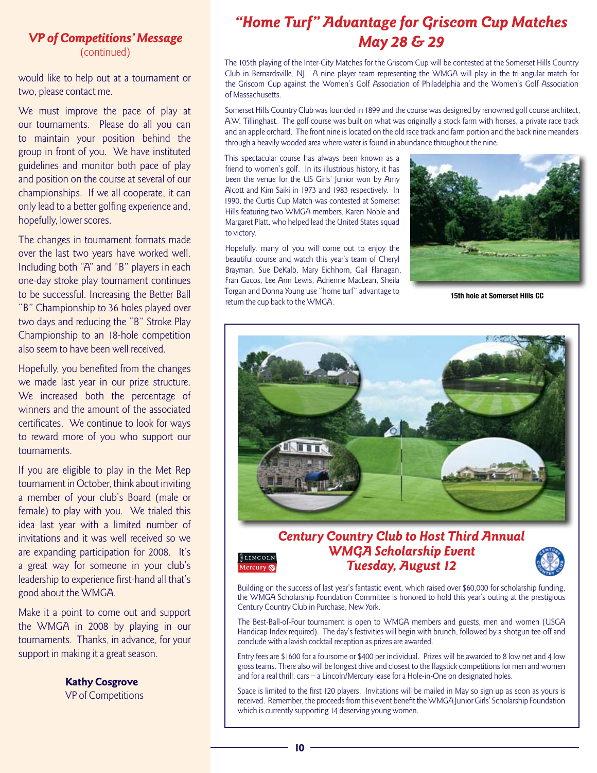### VP of Competitions' Message (continued)

would like to help out at a tournament or two, please contact me.

We must improve the pace of play at our tournaments. Please do all you can to maintain your position behind the group in front of you. We have instituted guidelines and monitor both pace of play and position on the course at several of our championships. If we all cooperate, it can only lead to a better golfing experience and, hopefully, lower scores.

The changes in tournament formats made over the last two years have worked well. Including both "A" and "B" players in each one-day stroke play tournament continues to be successful. Increasing the Better Ball "B" Championship to 36 holes played over two days and reducing the "B" Stroke Play Championship to an 18-hole competition also seem to have been well received.

Hopefully, you benefited from the changes we made last year in our prize structure. We increased both the percentage of winners and the amount of the associated certificates. We continue to look for ways to reward more of you who support our tournaments.

If you are eligible to play in the Met Rep tournament in October, think about inviting a member of your club's Board (male or female) to play with you. We trialed this idea last year with a limited number of invitations and it was well received so we are expanding participation for 2008. It's a great way for someone in your club's leadership to experience first-hand all that's good about the WMGA.

Make it a point to come out and support the WMGA in 2008 by playing in our tournaments. Thanks, in advance, for your support in making it a great season.

> Kathy Cosgrove VP of Competitions

## "Home Turf" Advantage for Griscom Cup Matches May 28 & 29

The 105th playing of the Inter-City Matches for the Griscom Cup will be contested at the Somerset Hills Country Club in Bernardsville, NJ. A nine player team representing the WMGA will play in the tri-angular match for the Griscom Cup against the Women's Golf Association of Philadelphia and the Women's Golf Association of Massachusetts.

Somerset Hills Country Club was founded in 1899 and the course was designed by renowned golf course architect, A.W. Tillinghast. The golf course was built on what was originally a stock farm with horses, a private race track and an apple orchard. The front nine is located on the old race track and farm portion and the back nine meanders through a heavily wooded area where water is found in abundance throughout the nine.

This spectacular course has always been known as a friend to women's golf. In its illustrious history, it has been the venue for the US Girls' Junior won by Amy Alcott and Kim Saiki in 1973 and 1983 respectively. In 1990, the Curtis Cup Match was contested at Somerset Hills featuring two WMGA members, Karen Noble and Margaret Platt, who helped lead the United States squad to victory.

Hopefully, many of you will come out to enjoy the beautiful course and watch this year's team of Cheryl Brayman, Sue DeKalb, Mary Eichhorn, Gail Flanagan, Fran Gacos, Lee Ann Lewis, Adrienne MacLean, Sheila Torgan and Donna Young use "home turf" advantage to return the cup back to the WMGA.



**15th hole at Somerset Hills CC**



### Century Country Club to Host Third Annual WMGA Scholarship Event Tuesday, August 12



Building on the success of last year's fantastic event, which raised over \$60,000 for scholarship funding, the WMGA Scholarship Foundation Committee is honored to hold this year's outing at the prestigious Century Country Club in Purchase, New York.

The Best-Ball-of-Four tournament is open to WMGA members and guests, men and women (USGA Handicap Index required). The day's festivities will begin with brunch, followed by a shotgun tee-off and conclude with a lavish cocktail reception as prizes are awarded.

Entry fees are \$1600 for a foursome or \$400 per individual. Prizes will be awarded to 8 low net and 4 low gross teams. There also will be longest drive and closest to the flagstick competitions for men and women and for a real thrill, cars – a Lincoln/Mercury lease for a Hole-in-One on designated holes.

Space is limited to the first 120 players. Invitations will be mailed in May so sign up as soon as yours is received. Remember, the proceeds from this event benefit the WMGA Junior Girls' Scholarship Foundation which is currently supporting 14 deserving young women.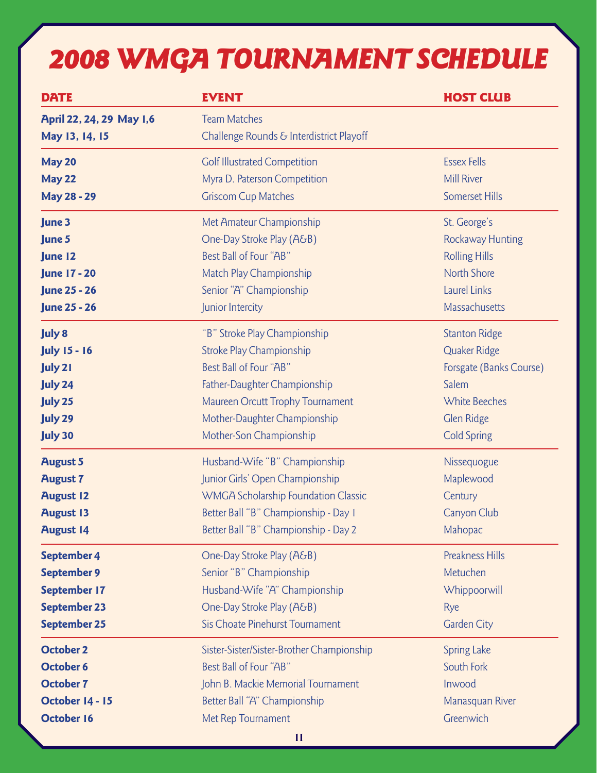# 2008 WMGA TOURNAMENT SCHEDULE

| <b>DATE</b>              | <b>EVENT</b>                               | <b>HOST CLUB</b>        |
|--------------------------|--------------------------------------------|-------------------------|
| April 22, 24, 29 May 1,6 | <b>Team Matches</b>                        |                         |
| May 13, 14, 15           | Challenge Rounds & Interdistrict Playoff   |                         |
| <b>May 20</b>            | <b>Golf Illustrated Competition</b>        | <b>Essex Fells</b>      |
| <b>May 22</b>            | Myra D. Paterson Competition               | <b>Mill River</b>       |
| <b>May 28 - 29</b>       | <b>Griscom Cup Matches</b>                 | <b>Somerset Hills</b>   |
| June 3                   | Met Amateur Championship                   | St. George's            |
| June 5                   | One-Day Stroke Play (A&B)                  | <b>Rockaway Hunting</b> |
| June 12                  | Best Ball of Four "AB"                     | <b>Rolling Hills</b>    |
| <b>June 17 - 20</b>      | Match Play Championship                    | <b>North Shore</b>      |
| <b>June 25 - 26</b>      | Senior "A" Championship                    | Laurel Links            |
| <b>June 25 - 26</b>      | Junior Intercity                           | Massachusetts           |
| <b>July 8</b>            | "B" Stroke Play Championship               | <b>Stanton Ridge</b>    |
| <b>July 15 - 16</b>      | Stroke Play Championship                   | <b>Quaker Ridge</b>     |
| <b>July 21</b>           | Best Ball of Four "AB"                     | Forsgate (Banks Course) |
| <b>July 24</b>           | Father-Daughter Championship               | Salem                   |
| <b>July 25</b>           | Maureen Orcutt Trophy Tournament           | <b>White Beeches</b>    |
| <b>July 29</b>           | Mother-Daughter Championship               | <b>Glen Ridge</b>       |
| <b>July 30</b>           | Mother-Son Championship                    | <b>Cold Spring</b>      |
| <b>August 5</b>          | Husband-Wife "B" Championship              | Nissequogue             |
| <b>August 7</b>          | Junior Girls' Open Championship            | Maplewood               |
| <b>August 12</b>         | <b>WMGA Scholarship Foundation Classic</b> | Century                 |
| <b>August 13</b>         | Better Ball "B" Championship - Day I       | Canyon Club             |
| <b>August 14</b>         | Better Ball "B" Championship - Day 2       | Mahopac                 |
| September 4              | One-Day Stroke Play (A&B)                  | <b>Preakness Hills</b>  |
| <b>September 9</b>       | Senior "B" Championship                    | Metuchen                |
| September 17             | Husband-Wife "A" Championship              | Whippoorwill            |
| <b>September 23</b>      | One-Day Stroke Play (A&B)                  | <b>Rye</b>              |
| September 25             | Sis Choate Pinehurst Tournament            | <b>Garden City</b>      |
| <b>October 2</b>         | Sister-Sister/Sister-Brother Championship  | <b>Spring Lake</b>      |
| <b>October 6</b>         | Best Ball of Four "AB"                     | South Fork              |
| <b>October 7</b>         | John B. Mackie Memorial Tournament         | Inwood                  |
| October 14 - 15          | Better Ball "A" Championship               | Manasquan River         |
| <b>October 16</b>        | Met Rep Tournament                         | Greenwich               |